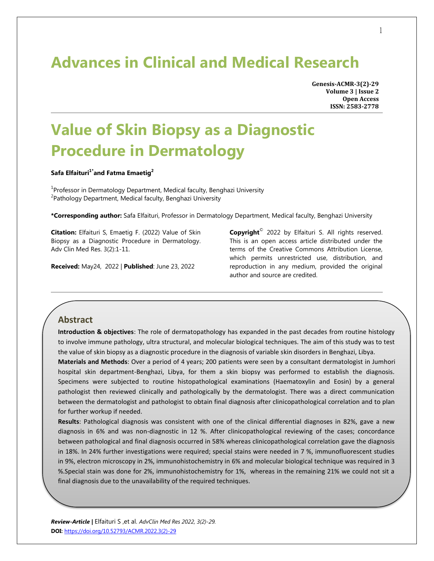## **Advances in Clinical and Medical Research**

**Genesis-ACMR-3(2)-29 Volume 3 | Issue 2 Open Access ISSN: 2583-2778**

# **Value of Skin Biopsy as a Diagnostic Procedure in Dermatology**

#### **Safa Elfaituri1\*and Fatma Emaetig<sup>2</sup>**

<sup>1</sup> Professor in Dermatology Department, Medical faculty, Benghazi University <sup>2</sup> Pathology Department, Medical faculty, Benghazi University

**\*Corresponding author:** Safa Elfaituri, Professor in Dermatology Department, Medical faculty, Benghazi University

**Citation:** Elfaituri S, Emaetig F. (2022) Value of Skin Biopsy as a Diagnostic Procedure in Dermatology. Adv Clin Med Res. 3(2):1-11.

**Received:** May24, 2022 | **Published**: June 23, 2022

**Copyright**© 2022 by Elfaituri S. All rights reserved. This is an open access article distributed under the terms of the Creative Commons Attribution License, which permits unrestricted use, distribution, and reproduction in any medium, provided the original author and source are credited.

## **Abstract**

**Introduction & objectives**: The role of dermatopathology has expanded in the past decades from routine histology to involve immune pathology, ultra structural, and molecular biological techniques. The aim of this study was to test the value of skin biopsy as a diagnostic procedure in the diagnosis of variable skin disorders in Benghazi, Libya.

**Materials and Methods**: Over a period of 4 years; 200 patients were seen by a consultant dermatologist in Jumhori hospital skin department-Benghazi, Libya, for them a skin biopsy was performed to establish the diagnosis. Specimens were subjected to routine histopathological examinations (Haematoxylin and Eosin) by a general pathologist then reviewed clinically and pathologically by the dermatologist. There was a direct communication between the dermatologist and pathologist to obtain final diagnosis after clinicopathological correlation and to plan for further workup if needed.

**Results**: Pathological diagnosis was consistent with one of the clinical differential diagnoses in 82%, gave a new diagnosis in 6% and was non-diagnostic in 12 %. After clinicopathological reviewing of the cases; concordance between pathological and final diagnosis occurred in 58% whereas clinicopathological correlation gave the diagnosis in 18%. In 24% further investigations were required; special stains were needed in 7 %, immunofluorescent studies in 9%, electron microscopy in 2%, immunohistochemistry in 6% and molecular biological technique was required in 3 %.Special stain was done for 2%, immunohistochemistry for 1%, whereas in the remaining 21% we could not sit a final diagnosis due to the unavailability of the required techniques.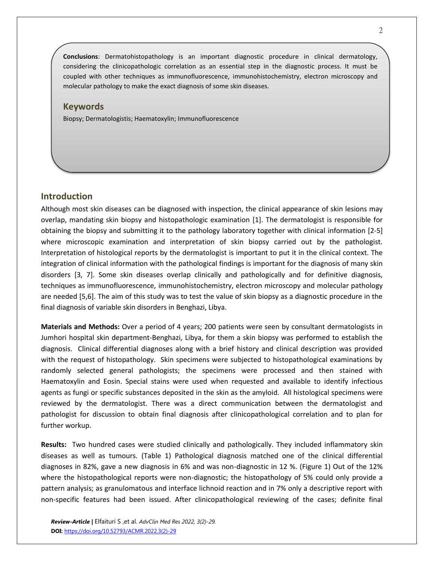**Conclusions**: Dermatohistopathology is an important diagnostic procedure in clinical dermatology, considering the clinicopathologic correlation as an essential step in the diagnostic process. It must be coupled with other techniques as immunofluorescence, immunohistochemistry, electron microscopy and molecular pathology to make the exact diagnosis of some skin diseases.

#### **Keywords**

Biopsy; Dermatologistis; Haematoxylin; Immunofluorescence

#### **Introduction**

Although most skin diseases can be diagnosed with inspection, the clinical appearance of skin lesions may overlap, mandating skin biopsy and histopathologic examination [1]. The dermatologist is responsible for obtaining the biopsy and submitting it to the pathology laboratory together with clinical information [2-5] where microscopic examination and interpretation of skin biopsy carried out by the pathologist. Interpretation of histological reports by the dermatologist is important to put it in the clinical context. The integration of clinical information with the pathological findings is important for the diagnosis of many skin disorders [3, 7]. Some skin diseases overlap clinically and pathologically and for definitive diagnosis, techniques as immunofluorescence, immunohistochemistry, electron microscopy and molecular pathology are needed [5,6]. The aim of this study was to test the value of skin biopsy as a diagnostic procedure in the final diagnosis of variable skin disorders in Benghazi, Libya.

**Materials and Methods:** Over a period of 4 years; 200 patients were seen by consultant dermatologists in Jumhori hospital skin department-Benghazi, Libya, for them a skin biopsy was performed to establish the diagnosis. Clinical differential diagnoses along with a brief history and clinical description was provided with the request of histopathology. Skin specimens were subjected to histopathological examinations by randomly selected general pathologists; the specimens were processed and then stained with Haematoxylin and Eosin. Special stains were used when requested and available to identify infectious agents as fungi or specific substances deposited in the skin as the amyloid. All histological specimens were reviewed by the dermatologist. There was a direct communication between the dermatologist and pathologist for discussion to obtain final diagnosis after clinicopathological correlation and to plan for further workup.

**Results:** Two hundred cases were studied clinically and pathologically. They included inflammatory skin diseases as well as tumours. (Table 1) Pathological diagnosis matched one of the clinical differential diagnoses in 82%, gave a new diagnosis in 6% and was non-diagnostic in 12 %. (Figure 1) Out of the 12% where the histopathological reports were non-diagnostic; the histopathology of 5% could only provide a pattern analysis; as granulomatous and interface lichnoid reaction and in 7% only a descriptive report with non-specific features had been issued. After clinicopathological reviewing of the cases; definite final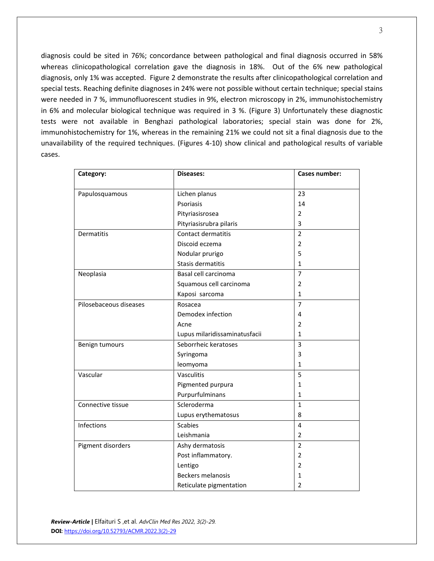diagnosis could be sited in 76%; concordance between pathological and final diagnosis occurred in 58% whereas clinicopathological correlation gave the diagnosis in 18%. Out of the 6% new pathological diagnosis, only 1% was accepted. Figure 2 demonstrate the results after clinicopathological correlation and special tests. Reaching definite diagnoses in 24% were not possible without certain technique; special stains were needed in 7 %, immunofluorescent studies in 9%, electron microscopy in 2%, immunohistochemistry in 6% and molecular biological technique was required in 3 %. (Figure 3) Unfortunately these diagnostic tests were not available in Benghazi pathological laboratories; special stain was done for 2%, immunohistochemistry for 1%, whereas in the remaining 21% we could not sit a final diagnosis due to the unavailability of the required techniques. (Figures 4-10) show clinical and pathological results of variable cases.

| Category:              | <b>Diseases:</b>              | Cases number:  |
|------------------------|-------------------------------|----------------|
|                        |                               |                |
| Papulosquamous         | Lichen planus                 | 23             |
|                        | Psoriasis                     | 14             |
|                        | Pityriasisrosea               | $\overline{2}$ |
|                        | Pityriasisrubra pilaris       | 3              |
| Dermatitis             | Contact dermatitis            | $\overline{2}$ |
|                        | Discoid eczema                | $\overline{2}$ |
|                        | Nodular prurigo               | 5              |
|                        | Stasis dermatitis             | $\mathbf{1}$   |
| Neoplasia              | Basal cell carcinoma          | $\overline{7}$ |
|                        | Squamous cell carcinoma       | $\overline{2}$ |
|                        | Kaposi sarcoma                | $\mathbf{1}$   |
| Pilosebaceous diseases | Rosacea                       | $\overline{7}$ |
|                        | Demodex infection             | 4              |
|                        | Acne                          | $\overline{2}$ |
|                        | Lupus milaridissaminatusfacii | $\mathbf{1}$   |
| Benign tumours         | Seborrheic keratoses          | 3              |
|                        | Syringoma                     | 3              |
|                        | leomyoma                      | $\mathbf{1}$   |
| Vascular               | Vasculitis                    | 5              |
|                        | Pigmented purpura             | 1              |
|                        | Purpurfulminans               | $\mathbf{1}$   |
| Connective tissue      | Scleroderma                   | $\mathbf{1}$   |
|                        | Lupus erythematosus           | 8              |
| Infections             | <b>Scabies</b>                | 4              |
|                        | Leishmania                    | $\overline{2}$ |
| Pigment disorders      | Ashy dermatosis               | $\overline{2}$ |
|                        | Post inflammatory.            | $\overline{2}$ |
|                        | Lentigo                       | $\overline{2}$ |
|                        | <b>Beckers melanosis</b>      | 1              |
|                        | Reticulate pigmentation       | $\overline{2}$ |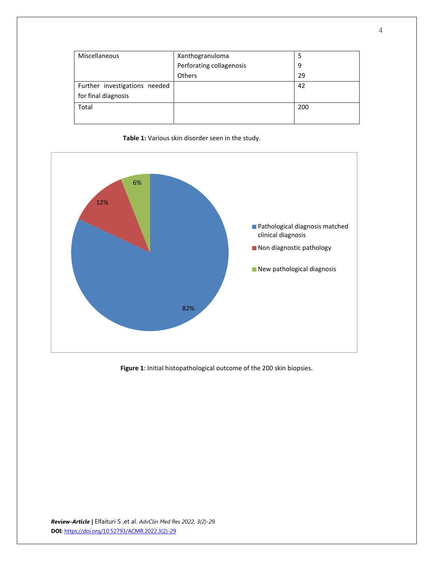| <b>Miscellaneous</b>          | Xanthogranuloma          | 5   |
|-------------------------------|--------------------------|-----|
|                               | Perforating collagenosis | 9   |
|                               | <b>Others</b>            | 29  |
| Further investigations needed |                          | 42  |
| for final diagnosis           |                          |     |
| Total                         |                          | 200 |
|                               |                          |     |





**Figure 1**: Initial histopathological outcome of the 200 skin biopsies.

*Review-Article |* Elfaituri S ,et al. *AdvClin Med Res 2022, 3(2)-29.* **DOI:** [https://doi.org/10.52793/ACMR.2022.3\(2\)-29](https://doi.org/10.52793/ACMR.2022.3(2)-29)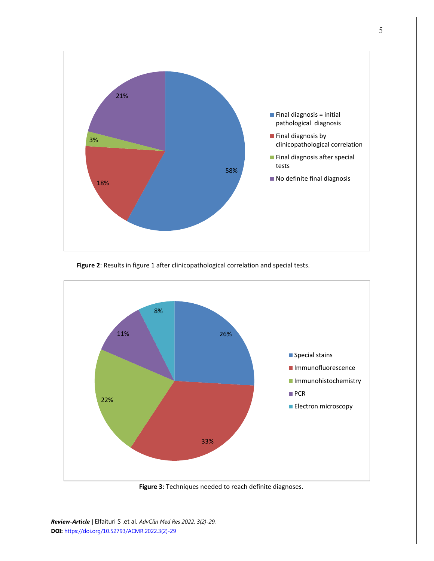

**Figure 2**: Results in figure 1 after clinicopathological correlation and special tests.



 **Figure 3**: Techniques needed to reach definite diagnoses.

*Review-Article |* Elfaituri S ,et al. *AdvClin Med Res 2022, 3(2)-29.* **DOI:** [https://doi.org/10.52793/ACMR.2022.3\(2\)-29](https://doi.org/10.52793/ACMR.2022.3(2)-29)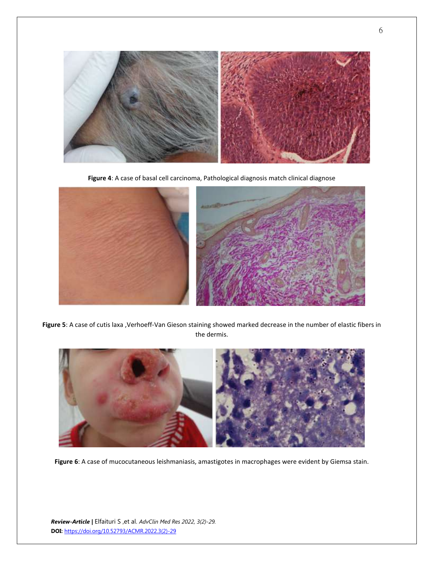

**Figure 4**: A case of basal cell carcinoma, Pathological diagnosis match clinical diagnose



**Figure 5**: A case of cutis laxa ,Verhoeff-Van Gieson staining showed marked decrease in the number of elastic fibers in the dermis.



**Figure 6**: A case of mucocutaneous leishmaniasis, amastigotes in macrophages were evident by Giemsa stain.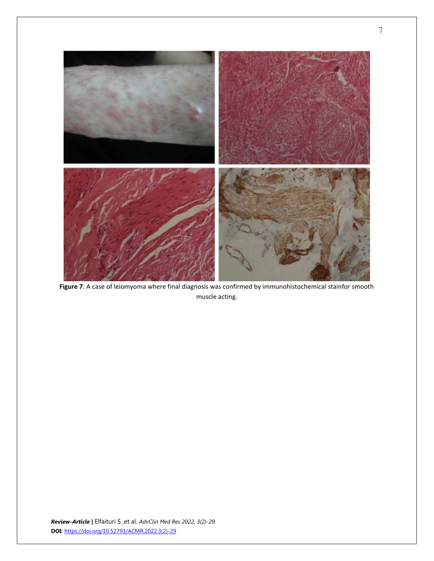

**Figure 7**: A case of leiomyoma where final diagnosis was confirmed by immunohistochemical stainfor smooth muscle acting.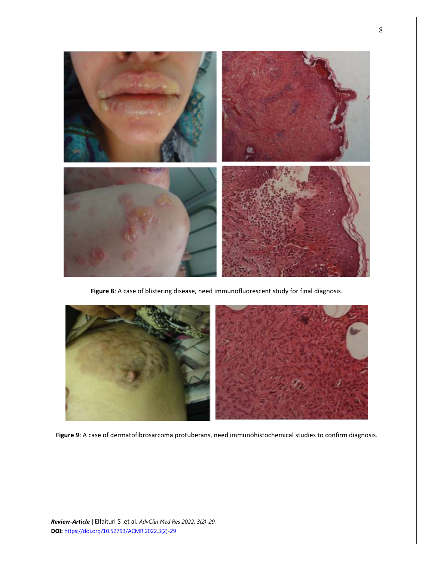

**Figure 8**: A case of blistering disease, need immunofluorescent study for final diagnosis.



**Figure 9**: A case of dermatofibrosarcoma protuberans, need immunohistochemical studies to confirm diagnosis.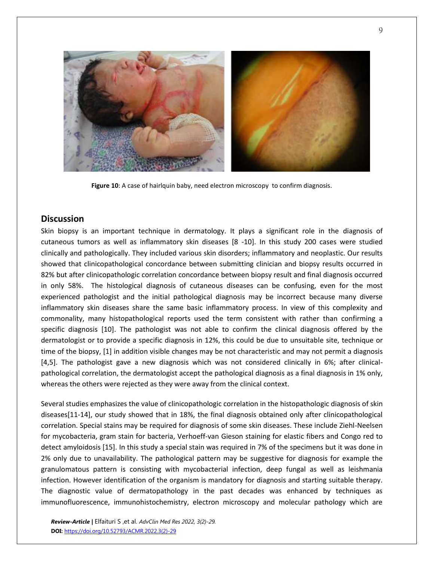

**Figure 10**: A case of hairlquin baby, need electron microscopy to confirm diagnosis.

#### **Discussion**

Skin biopsy is an important technique in dermatology. It plays a significant role in the diagnosis of cutaneous tumors as well as inflammatory skin diseases [8 -10]. In this study 200 cases were studied clinically and pathologically. They included various skin disorders; inflammatory and neoplastic. Our results showed that clinicopathological concordance between submitting clinician and biopsy results occurred in 82% but after clinicopathologic correlation concordance between biopsy result and final diagnosis occurred in only 58%. The histological diagnosis of cutaneous diseases can be confusing, even for the most experienced pathologist and the initial pathological diagnosis may be incorrect because many diverse inflammatory skin diseases share the same basic inflammatory process. In view of this complexity and commonality, many histopathological reports used the term consistent with rather than confirming a specific diagnosis [10]. The pathologist was not able to confirm the clinical diagnosis offered by the dermatologist or to provide a specific diagnosis in 12%, this could be due to unsuitable site, technique or time of the biopsy, [1] in addition visible changes may be not characteristic and may not permit a diagnosis [4,5]. The pathologist gave a new diagnosis which was not considered clinically in 6%; after clinicalpathological correlation, the dermatologist accept the pathological diagnosis as a final diagnosis in 1% only, whereas the others were rejected as they were away from the clinical context.

Several studies emphasizes the value of clinicopathologic correlation in the histopathologic diagnosis of skin diseases[11-14], our study showed that in 18%, the final diagnosis obtained only after clinicopathological correlation. Special stains may be required for diagnosis of some skin diseases. These include Ziehl-Neelsen for mycobacteria, gram stain for bacteria, Verhoeff-van Gieson staining for elastic fibers and Congo red to detect amyloidosis [15]. In this study a special stain was required in 7% of the specimens but it was done in 2% only due to unavailability. The pathological pattern may be suggestive for diagnosis for example the granulomatous pattern is consisting with mycobacterial infection, deep fungal as well as leishmania infection. However identification of the organism is mandatory for diagnosis and starting suitable therapy. The diagnostic value of dermatopathology in the past decades was enhanced by techniques as immunofluorescence, immunohistochemistry, electron microscopy and molecular pathology which are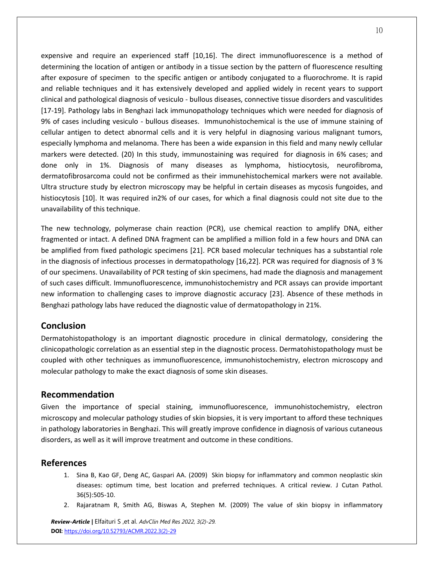expensive and require an experienced staff [10,16]. The direct immunofluorescence is a method of determining the location of antigen or antibody in a tissue section by the pattern of fluorescence resulting after exposure of specimen to the specific antigen or antibody conjugated to a fluorochrome. It is rapid and reliable techniques and it has extensively developed and applied widely in recent years to support clinical and pathological diagnosis of vesiculo - bullous diseases, connective tissue disorders and vasculitides [17-19]. Pathology labs in Benghazi lack immunopathology techniques which were needed for diagnosis of 9% of cases including vesiculo - bullous diseases. Immunohistochemical is the use of immune staining of cellular antigen to detect abnormal cells and it is very helpful in diagnosing various malignant tumors, especially lymphoma and melanoma. There has been a wide expansion in this field and many newly cellular markers were detected. (20) In this study, immunostaining was required for diagnosis in 6% cases; and done only in 1%. Diagnosis of many diseases as lymphoma, histiocytosis, neurofibroma, dermatofibrosarcoma could not be confirmed as their immunehistochemical markers were not available. Ultra structure study by electron microscopy may be helpful in certain diseases as mycosis fungoides, and histiocytosis [10]. It was required in2% of our cases, for which a final diagnosis could not site due to the unavailability of this technique.

The new technology, polymerase chain reaction (PCR), use chemical reaction to amplify DNA, either fragmented or intact. A defined DNA fragment can be amplified a million fold in a few hours and DNA can be amplified from fixed pathologic specimens [21]. PCR based molecular techniques has a substantial role in the diagnosis of infectious processes in dermatopathology [16,22]. PCR was required for diagnosis of 3 % of our specimens. Unavailability of PCR testing of skin specimens, had made the diagnosis and management of such cases difficult. Immunofluorescence, immunohistochemistry and PCR assays can provide important new information to challenging cases to improve diagnostic accuracy [23]. Absence of these methods in Benghazi pathology labs have reduced the diagnostic value of dermatopathology in 21%.

## **Conclusion**

Dermatohistopathology is an important diagnostic procedure in clinical dermatology, considering the clinicopathologic correlation as an essential step in the diagnostic process. Dermatohistopathology must be coupled with other techniques as immunofluorescence, immunohistochemistry, electron microscopy and molecular pathology to make the exact diagnosis of some skin diseases.

#### **Recommendation**

Given the importance of special staining, immunofluorescence, immunohistochemistry, electron microscopy and molecular pathology studies of skin biopsies, it is very important to afford these techniques in pathology laboratories in Benghazi. This will greatly improve confidence in diagnosis of various cutaneous disorders, as well as it will improve treatment and outcome in these conditions.

## **References**

- 1. [Sina B,](http://www.ncbi.nlm.nih.gov/pubmed?term=%22Sina%20B%22%5BAuthor%5D) [Kao GF,](http://www.ncbi.nlm.nih.gov/pubmed?term=%22Kao%20GF%22%5BAuthor%5D) Deng AC, Gaspari AA. (2009) Skin biopsy for inflammatory and common neoplastic skin diseases: optimum time, best location and preferred techniques. A critical review. [J Cutan Pathol.](http://www.ncbi.nlm.nih.gov/pubmed/19187117) 36(5):505-10.
- 2. [Rajaratnam R,](http://www.ncbi.nlm.nih.gov/pubmed?term=%22Rajaratnam%20R%22%5BAuthor%5D) [Smith AG,](http://www.ncbi.nlm.nih.gov/pubmed?term=%22Smith%20AG%22%5BAuthor%5D) [Biswas A,](http://www.ncbi.nlm.nih.gov/pubmed?term=%22Biswas%20A%22%5BAuthor%5D) Stephen M. (2009) The value of skin biopsy in inflammatory

*Review-Article |* Elfaituri S ,et al. *AdvClin Med Res 2022, 3(2)-29.* **DOI:** [https://doi.org/10.52793/ACMR.2022.3\(2\)-29](https://doi.org/10.52793/ACMR.2022.3(2)-29)